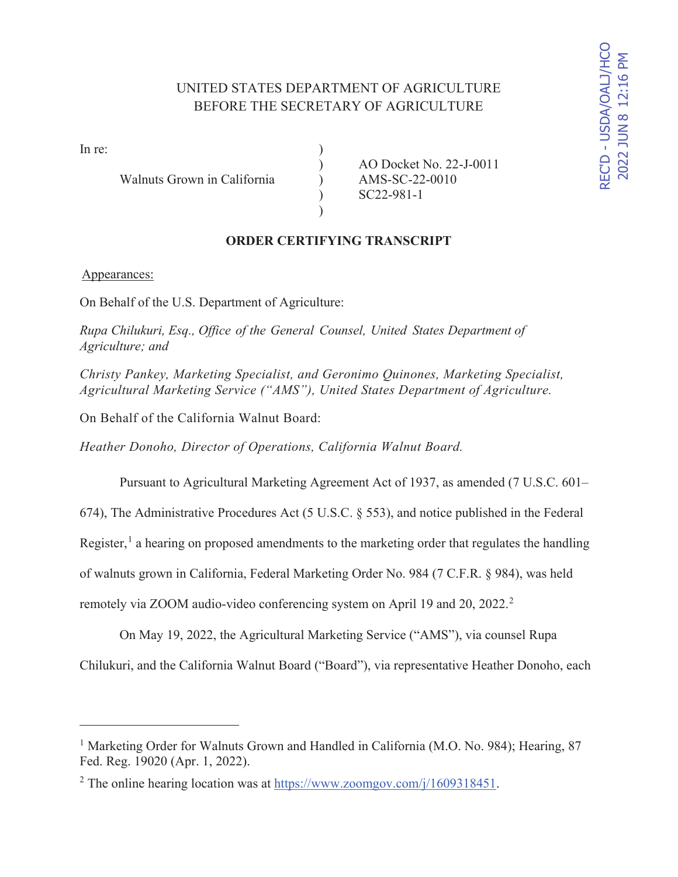# UNITED STATES DEPARTMENT OF AGRICULTURE BEFORE THE SECRETARY OF AGRICULTURE

In re:  $\qquad \qquad$  )

Walnuts Grown in California (a) AMS-SC-22-0010

) AO Docket No. 22-J-0011 ) SC22-981-1

### **ORDER CERTIFYING TRANSCRIPT**

 $\mathcal{L}$ 

#### Appearances:

On Behalf of the U.S. Department of Agriculture:

*Rupa Chilukuri, Esq., Office of the General Counsel, United States Department of Agriculture; and* 

*Christy Pankey, Marketing Specialist, and Geronimo Quinones, Marketing Specialist, Agricultural Marketing Service ("AMS"), United States Department of Agriculture.* 

On Behalf of the California Walnut Board:

*Heather Donoho, Director of Operations, California Walnut Board.* 

Pursuant to Agricultural Marketing Agreement Act of 1937, as amended (7 U.S.C. 601–

674), The Administrative Procedures Act (5 U.S.C. § 553), and notice published in the Federal

Register,<sup>1</sup> a hearing on proposed amendments to the marketing order that regulates the handling

of walnuts grown in California, Federal Marketing Order No. 984 (7 C.F.R. § 984), was held

remotely via ZOOM audio-video conferencing system on April 19 and 20, 2022.<sup>2</sup>

On May 19, 2022, the Agricultural Marketing Service ("AMS"), via counsel Rupa Chilukuri, and the California Walnut Board ("Board"), via representative Heather Donoho, each

<sup>&</sup>lt;sup>1</sup> Marketing Order for Walnuts Grown and Handled in California (M.O. No. 984); Hearing, 87 Fed. Reg. 19020 (Apr. 1, 2022).

<sup>&</sup>lt;sup>2</sup> The online hearing location was at  $\frac{https://www.zoomgov.com/j/1609318451}{https://www.zoomgov.com/j/1609318451}.$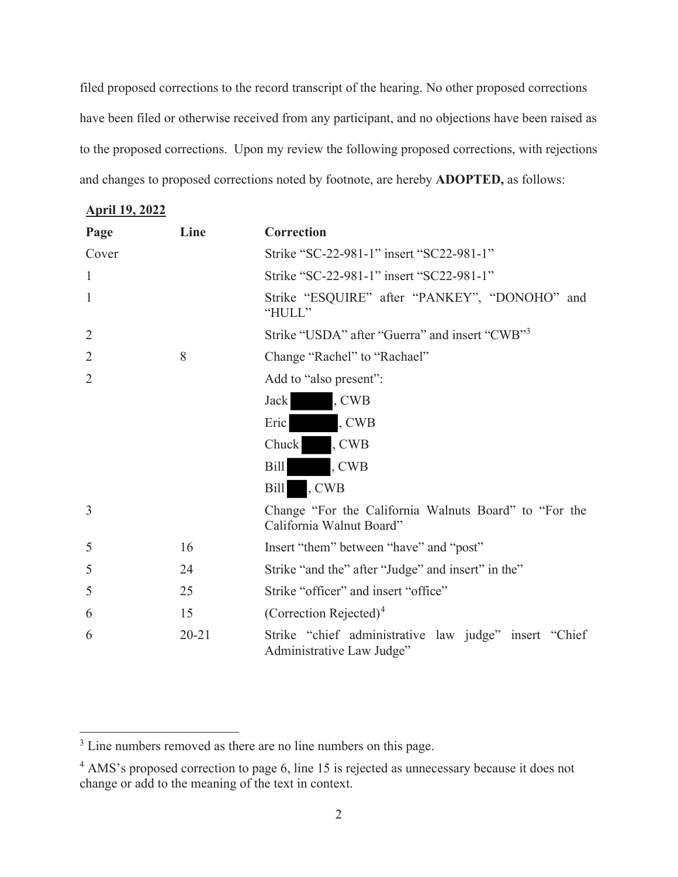filed proposed corrections to the record transcript of the hearing. No other proposed corrections have been filed or otherwise received from any participant, and no objections have been raised as to the proposed corrections. Upon my review the following proposed corrections, with rejections and changes to proposed corrections noted by footnote, are hereby **ADOPTED,** as follows:

**April 19, 2022** 

| Page           | Line      | Correction                                                                         |
|----------------|-----------|------------------------------------------------------------------------------------|
| Cover          |           | Strike "SC-22-981-1" insert "SC22-981-1"                                           |
| $\mathbf{1}$   |           | Strike "SC-22-981-1" insert "SC22-981-1"                                           |
| 1              |           | Strike "ESQUIRE" after "PANKEY", "DONOHO" and<br>"HULL"                            |
| $\overline{2}$ |           | Strike "USDA" after "Guerra" and insert "CWB" <sup>3</sup>                         |
| $\overline{2}$ | 8         | Change "Rachel" to "Rachael"                                                       |
| $\overline{2}$ |           | Add to "also present":                                                             |
|                |           | , CWB<br>Jack                                                                      |
|                |           | , CWB<br>Eric                                                                      |
|                |           | , CWB<br>Chuck                                                                     |
|                |           | <b>Bill</b><br>, CWB                                                               |
|                |           | , CWB<br>Bill                                                                      |
| 3              |           | Change "For the California Walnuts Board" to "For the<br>California Walnut Board"  |
| 5              | 16        | Insert "them" between "have" and "post"                                            |
| 5              | 24        | Strike "and the" after "Judge" and insert" in the"                                 |
| 5              | 25        | Strike "officer" and insert "office"                                               |
| 6              | 15        | (Correction Rejected) <sup>4</sup>                                                 |
| 6              | $20 - 21$ | Strike "chief administrative law judge" insert "Chief<br>Administrative Law Judge" |

<sup>&</sup>lt;sup>3</sup> Line numbers removed as there are no line numbers on this page.

<sup>&</sup>lt;sup>4</sup> AMS's proposed correction to page 6, line 15 is rejected as unnecessary because it does not change or add to the meaning of the text in context.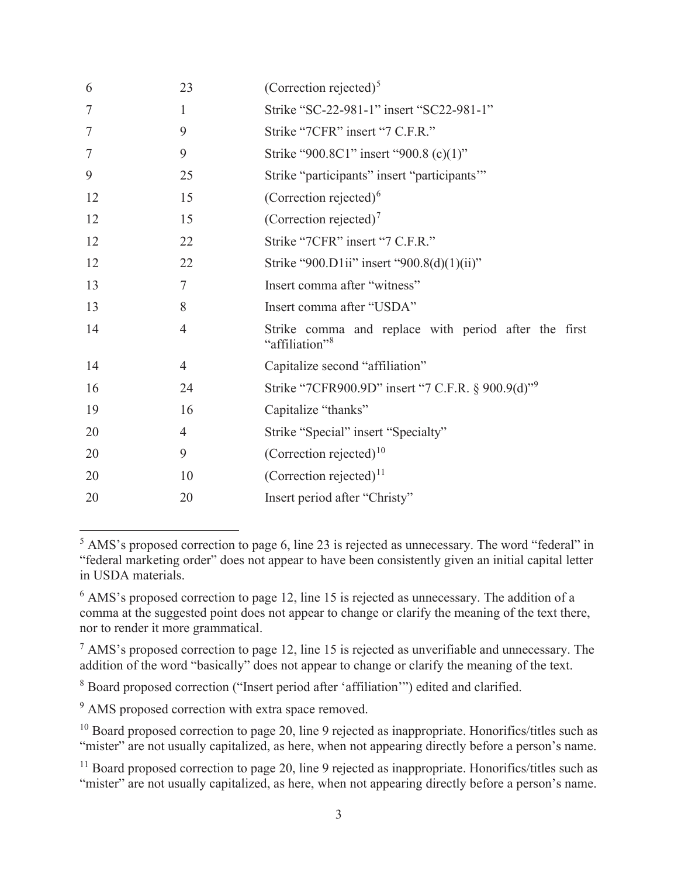| 6              | 23             | (Correction rejected) <sup>5</sup>                                                 |
|----------------|----------------|------------------------------------------------------------------------------------|
| 7              | 1              | Strike "SC-22-981-1" insert "SC22-981-1"                                           |
| $\tau$         | 9              | Strike "7CFR" insert "7 C.F.R."                                                    |
| $\overline{7}$ | 9              | Strike "900.8C1" insert "900.8 (c)(1)"                                             |
| 9              | 25             | Strike "participants" insert "participants"                                        |
| 12             | 15             | (Correction rejected) $6$                                                          |
| 12             | 15             | (Correction rejected) <sup>7</sup>                                                 |
| 12             | 22             | Strike "7CFR" insert "7 C.F.R."                                                    |
| 12             | 22             | Strike "900.D1ii" insert "900.8(d)(1)(ii)"                                         |
| 13             | 7              | Insert comma after "witness"                                                       |
| 13             | 8              | Insert comma after "USDA"                                                          |
| 14             | $\overline{4}$ | Strike comma and replace with period after the first<br>"affiliation" <sup>8</sup> |
| 14             | 4              | Capitalize second "affiliation"                                                    |
| 16             | 24             | Strike "7CFR900.9D" insert "7 C.F.R. § 900.9(d)" <sup>9</sup>                      |
| 19             | 16             | Capitalize "thanks"                                                                |
| 20             | $\overline{4}$ | Strike "Special" insert "Specialty"                                                |
| 20             | 9              | (Correction rejected) <sup>10</sup>                                                |
| 20             | 10             | (Correction rejected) <sup>11</sup>                                                |
| 20             | 20             | Insert period after "Christy"                                                      |

<sup>5</sup> AMS's proposed correction to page 6, line 23 is rejected as unnecessary. The word "federal" in "federal marketing order" does not appear to have been consistently given an initial capital letter in USDA materials.

 $7$  AMS's proposed correction to page 12, line 15 is rejected as unverifiable and unnecessary. The addition of the word "basically" does not appear to change or clarify the meaning of the text.

<sup>8</sup> Board proposed correction ("Insert period after 'affiliation"") edited and clarified.

<sup>9</sup> AMS proposed correction with extra space removed.

<sup>&</sup>lt;sup>6</sup> AMS's proposed correction to page 12, line 15 is rejected as unnecessary. The addition of a comma at the suggested point does not appear to change or clarify the meaning of the text there, nor to render it more grammatical.

 $10$  Board proposed correction to page 20, line 9 rejected as inappropriate. Honorifics/titles such as "mister" are not usually capitalized, as here, when not appearing directly before a person's name.

<sup>&</sup>lt;sup>11</sup> Board proposed correction to page 20, line 9 rejected as inappropriate. Honorifics/titles such as "mister" are not usually capitalized, as here, when not appearing directly before a person's name.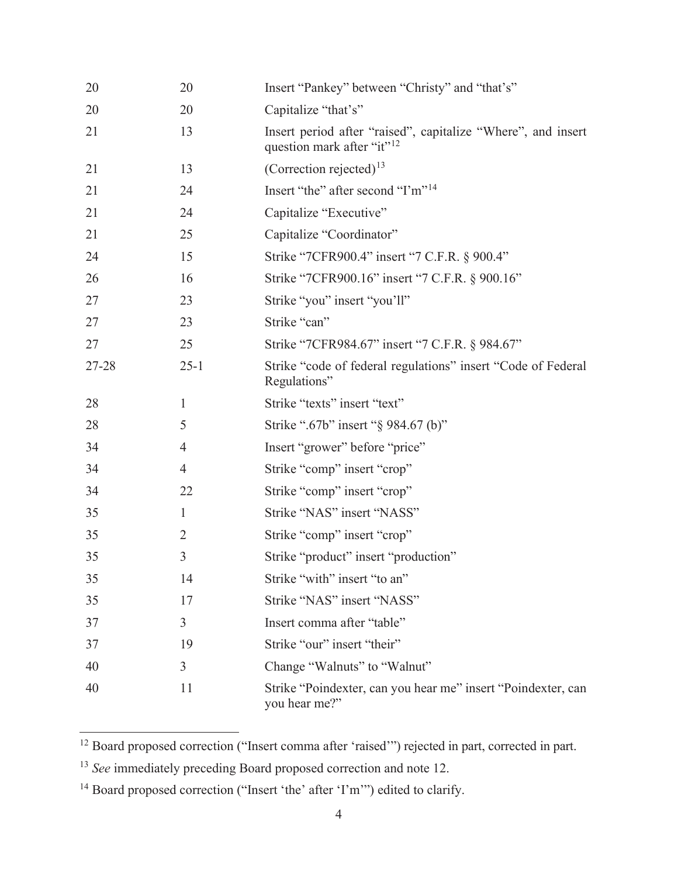| 20    | 20             | Insert "Pankey" between "Christy" and "that's"                                                         |
|-------|----------------|--------------------------------------------------------------------------------------------------------|
| 20    | 20             | Capitalize "that's"                                                                                    |
| 21    | 13             | Insert period after "raised", capitalize "Where", and insert<br>question mark after "it" <sup>12</sup> |
| 21    | 13             | (Correction rejected) $^{13}$                                                                          |
| 21    | 24             | Insert "the" after second "I'm" <sup>14</sup>                                                          |
| 21    | 24             | Capitalize "Executive"                                                                                 |
| 21    | 25             | Capitalize "Coordinator"                                                                               |
| 24    | 15             | Strike "7CFR900.4" insert "7 C.F.R. § 900.4"                                                           |
| 26    | 16             | Strike "7CFR900.16" insert "7 C.F.R. § 900.16"                                                         |
| 27    | 23             | Strike "you" insert "you'll"                                                                           |
| 27    | 23             | Strike "can"                                                                                           |
| 27    | 25             | Strike "7CFR984.67" insert "7 C.F.R. § 984.67"                                                         |
| 27-28 | $25 - 1$       | Strike "code of federal regulations" insert "Code of Federal<br>Regulations"                           |
| 28    | 1              | Strike "texts" insert "text"                                                                           |
| 28    | 5              | Strike ".67b" insert "§ 984.67 (b)"                                                                    |
| 34    | 4              | Insert "grower" before "price"                                                                         |
| 34    | 4              | Strike "comp" insert "crop"                                                                            |
| 34    | 22             | Strike "comp" insert "crop"                                                                            |
| 35    | $\mathbf{1}$   | Strike "NAS" insert "NASS"                                                                             |
| 35    | $\overline{2}$ | Strike "comp" insert "crop"                                                                            |
| 35    | 3              | Strike "product" insert "production"                                                                   |
| 35    | 14             | Strike "with" insert "to an"                                                                           |
| 35    | 17             | Strike "NAS" insert "NASS"                                                                             |
| 37    | $\mathfrak{Z}$ | Insert comma after "table"                                                                             |
| 37    | 19             | Strike "our" insert "their"                                                                            |
| 40    | 3              | Change "Walnuts" to "Walnut"                                                                           |
| 40    | 11             | Strike "Poindexter, can you hear me" insert "Poindexter, can<br>you hear me?"                          |

<sup>&</sup>lt;sup>12</sup> Board proposed correction ("Insert comma after 'raised'") rejected in part, corrected in part.

<sup>&</sup>lt;sup>13</sup> *See* immediately preceding Board proposed correction and note 12.

<sup>&</sup>lt;sup>14</sup> Board proposed correction ("Insert 'the' after 'I'm"") edited to clarify.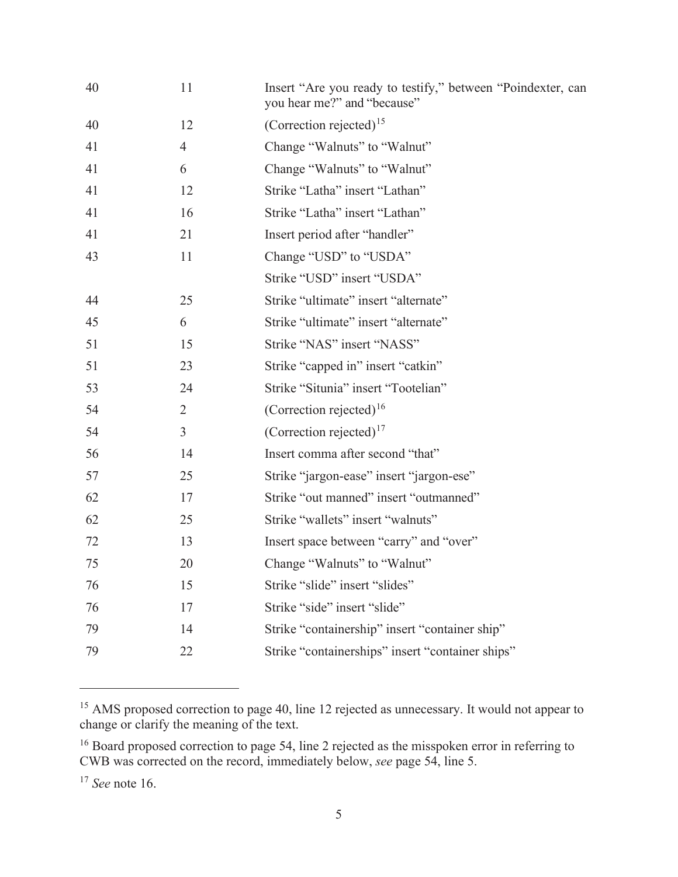| 40 | 11             | Insert "Are you ready to testify," between "Poindexter, can<br>you hear me?" and "because" |
|----|----------------|--------------------------------------------------------------------------------------------|
| 40 | 12             | (Correction rejected) <sup>15</sup>                                                        |
| 41 | $\overline{4}$ | Change "Walnuts" to "Walnut"                                                               |
| 41 | 6              | Change "Walnuts" to "Walnut"                                                               |
| 41 | 12             | Strike "Latha" insert "Lathan"                                                             |
| 41 | 16             | Strike "Latha" insert "Lathan"                                                             |
| 41 | 21             | Insert period after "handler"                                                              |
| 43 | 11             | Change "USD" to "USDA"                                                                     |
|    |                | Strike "USD" insert "USDA"                                                                 |
| 44 | 25             | Strike "ultimate" insert "alternate"                                                       |
| 45 | 6              | Strike "ultimate" insert "alternate"                                                       |
| 51 | 15             | Strike "NAS" insert "NASS"                                                                 |
| 51 | 23             | Strike "capped in" insert "catkin"                                                         |
| 53 | 24             | Strike "Situnia" insert "Tootelian"                                                        |
| 54 | $\overline{2}$ | (Correction rejected) <sup>16</sup>                                                        |
| 54 | 3              | (Correction rejected) $17$                                                                 |
| 56 | 14             | Insert comma after second "that"                                                           |
| 57 | 25             | Strike "jargon-ease" insert "jargon-ese"                                                   |
| 62 | 17             | Strike "out manned" insert "outmanned"                                                     |
| 62 | 25             | Strike "wallets" insert "walnuts"                                                          |
| 72 | 13             | Insert space between "carry" and "over"                                                    |
| 75 | 20             | Change "Walnuts" to "Walnut"                                                               |
| 76 | 15             | Strike "slide" insert "slides"                                                             |
| 76 | 17             | Strike "side" insert "slide"                                                               |
| 79 | 14             | Strike "containership" insert "container ship"                                             |
| 79 | 22             | Strike "containerships" insert "container ships"                                           |
|    |                |                                                                                            |

 $15$  AMS proposed correction to page 40, line 12 rejected as unnecessary. It would not appear to change or clarify the meaning of the text.

 $16$  Board proposed correction to page 54, line 2 rejected as the misspoken error in referring to CWB was corrected on the record, immediately below, *see* page 54, line 5.

<sup>17</sup> *See* note 16.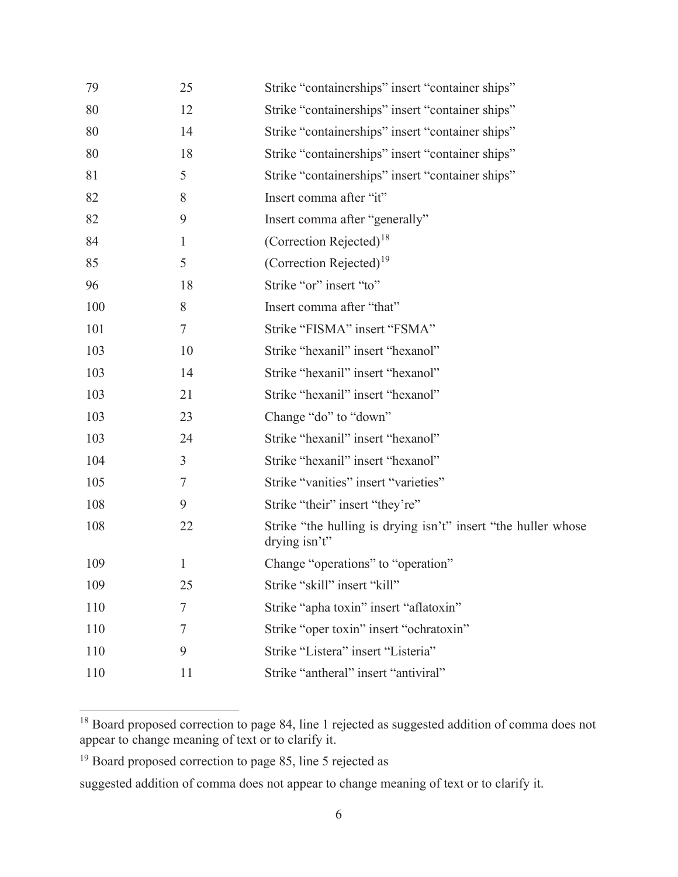| 79  | 25           | Strike "containerships" insert "container ships"                                  |
|-----|--------------|-----------------------------------------------------------------------------------|
| 80  | 12           | Strike "containerships" insert "container ships"                                  |
| 80  | 14           | Strike "containerships" insert "container ships"                                  |
| 80  | 18           | Strike "containerships" insert "container ships"                                  |
| 81  | 5            | Strike "containerships" insert "container ships"                                  |
| 82  | 8            | Insert comma after "it"                                                           |
| 82  | 9            | Insert comma after "generally"                                                    |
| 84  | 1            | (Correction Rejected) <sup>18</sup>                                               |
| 85  | 5            | (Correction Rejected) $19$                                                        |
| 96  | 18           | Strike "or" insert "to"                                                           |
| 100 | 8            | Insert comma after "that"                                                         |
| 101 | 7            | Strike "FISMA" insert "FSMA"                                                      |
| 103 | 10           | Strike "hexanil" insert "hexanol"                                                 |
| 103 | 14           | Strike "hexanil" insert "hexanol"                                                 |
| 103 | 21           | Strike "hexanil" insert "hexanol"                                                 |
| 103 | 23           | Change "do" to "down"                                                             |
| 103 | 24           | Strike "hexanil" insert "hexanol"                                                 |
| 104 | 3            | Strike "hexanil" insert "hexanol"                                                 |
| 105 | 7            | Strike "vanities" insert "varieties"                                              |
| 108 | 9            | Strike "their" insert "they're"                                                   |
| 108 | 22           | Strike "the hulling is drying isn't" insert "the huller whose<br>drying $isn't$ " |
| 109 | $\mathbf{1}$ | Change "operations" to "operation"                                                |
| 109 | 25           | Strike "skill" insert "kill"                                                      |
| 110 | 7            | Strike "apha toxin" insert "aflatoxin"                                            |
| 110 | 7            | Strike "oper toxin" insert "ochratoxin"                                           |
| 110 | 9            | Strike "Listera" insert "Listeria"                                                |
| 110 | 11           | Strike "antheral" insert "antiviral"                                              |
|     |              |                                                                                   |

 $18$  Board proposed correction to page 84, line 1 rejected as suggested addition of comma does not appear to change meaning of text or to clarify it.

<sup>&</sup>lt;sup>19</sup> Board proposed correction to page 85, line 5 rejected as

suggested addition of comma does not appear to change meaning of text or to clarify it.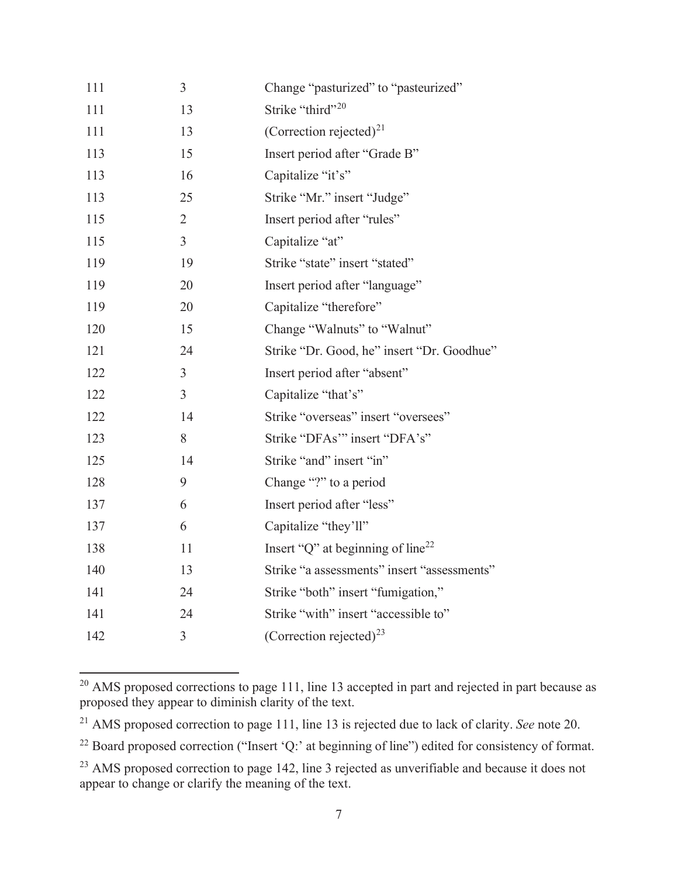| 111 | 3              | Change "pasturized" to "pasteurized"          |
|-----|----------------|-----------------------------------------------|
| 111 | 13             | Strike "third" <sup>20</sup>                  |
| 111 | 13             | (Correction rejected) <sup>21</sup>           |
| 113 | 15             | Insert period after "Grade B"                 |
| 113 | 16             | Capitalize "it's"                             |
| 113 | 25             | Strike "Mr." insert "Judge"                   |
| 115 | $\overline{2}$ | Insert period after "rules"                   |
| 115 | $\overline{3}$ | Capitalize "at"                               |
| 119 | 19             | Strike "state" insert "stated"                |
| 119 | 20             | Insert period after "language"                |
| 119 | 20             | Capitalize "therefore"                        |
| 120 | 15             | Change "Walnuts" to "Walnut"                  |
| 121 | 24             | Strike "Dr. Good, he" insert "Dr. Goodhue"    |
| 122 | $\overline{3}$ | Insert period after "absent"                  |
| 122 | $\mathfrak{Z}$ | Capitalize "that's"                           |
| 122 | 14             | Strike "overseas" insert "oversees"           |
| 123 | 8              | Strike "DFAs" insert "DFA's"                  |
| 125 | 14             | Strike "and" insert "in"                      |
| 128 | 9              | Change "?" to a period                        |
| 137 | 6              | Insert period after "less"                    |
| 137 | 6              | Capitalize "they'll"                          |
| 138 | 11             | Insert "Q" at beginning of line <sup>22</sup> |
| 140 | 13             | Strike "a assessments" insert "assessments"   |
| 141 | 24             | Strike "both" insert "fumigation,"            |
| 141 | 24             | Strike "with" insert "accessible to"          |
| 142 | 3              | (Correction rejected) <sup>23</sup>           |

<sup>&</sup>lt;sup>20</sup> AMS proposed corrections to page 111, line 13 accepted in part and rejected in part because as proposed they appear to diminish clarity of the text.

<sup>21</sup> AMS proposed correction to page 111, line 13 is rejected due to lack of clarity. *See* note 20.

<sup>&</sup>lt;sup>22</sup> Board proposed correction ("Insert 'Q:' at beginning of line") edited for consistency of format.

<sup>&</sup>lt;sup>23</sup> AMS proposed correction to page 142, line 3 rejected as unverifiable and because it does not appear to change or clarify the meaning of the text.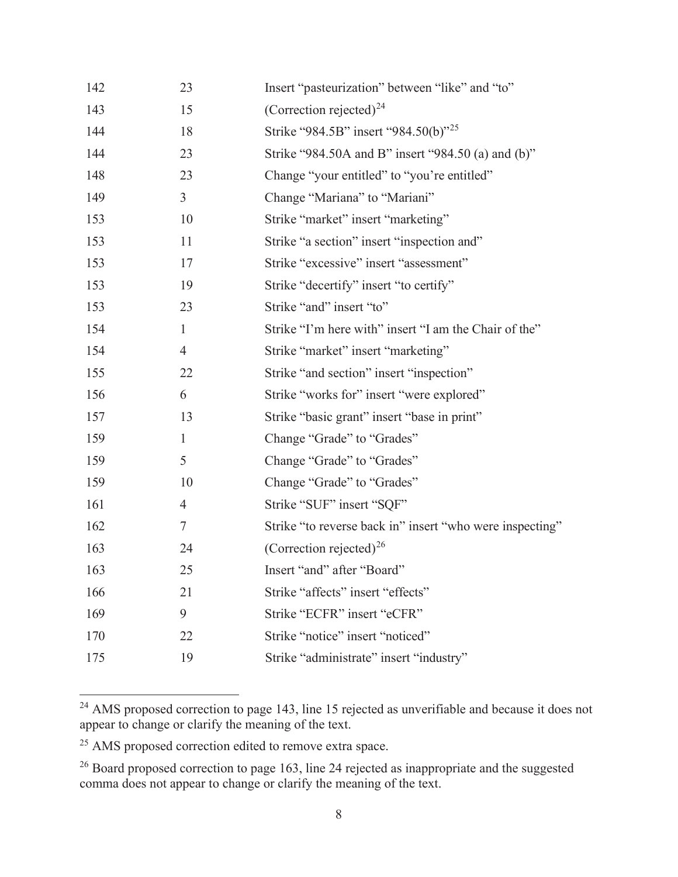| 142 | 23             | Insert "pasteurization" between "like" and "to"          |
|-----|----------------|----------------------------------------------------------|
| 143 | 15             | (Correction rejected) <sup>24</sup>                      |
| 144 | 18             | Strike "984.5B" insert "984.50(b)" <sup>25</sup>         |
| 144 | 23             | Strike "984.50A and B" insert "984.50 (a) and (b)"       |
| 148 | 23             | Change "your entitled" to "you're entitled"              |
| 149 | $\mathfrak{Z}$ | Change "Mariana" to "Mariani"                            |
| 153 | 10             | Strike "market" insert "marketing"                       |
| 153 | 11             | Strike "a section" insert "inspection and"               |
| 153 | 17             | Strike "excessive" insert "assessment"                   |
| 153 | 19             | Strike "decertify" insert "to certify"                   |
| 153 | 23             | Strike "and" insert "to"                                 |
| 154 | $\mathbf{1}$   | Strike "I'm here with" insert "I am the Chair of the"    |
| 154 | $\overline{4}$ | Strike "market" insert "marketing"                       |
| 155 | 22             | Strike "and section" insert "inspection"                 |
| 156 | 6              | Strike "works for" insert "were explored"                |
| 157 | 13             | Strike "basic grant" insert "base in print"              |
| 159 | $\mathbf{1}$   | Change "Grade" to "Grades"                               |
| 159 | 5              | Change "Grade" to "Grades"                               |
| 159 | 10             | Change "Grade" to "Grades"                               |
| 161 | $\overline{4}$ | Strike "SUF" insert "SQF"                                |
| 162 | $\tau$         | Strike "to reverse back in" insert "who were inspecting" |
| 163 | 24             | (Correction rejected) <sup>26</sup>                      |
| 163 | 25             | Insert "and" after "Board"                               |
| 166 | 21             | Strike "affects" insert "effects"                        |
| 169 | 9              | Strike "ECFR" insert "eCFR"                              |
| 170 | 22             | Strike "notice" insert "noticed"                         |
| 175 | 19             | Strike "administrate" insert "industry"                  |
|     |                |                                                          |

 $24$  AMS proposed correction to page 143, line 15 rejected as unverifiable and because it does not appear to change or clarify the meaning of the text.

<sup>25</sup> AMS proposed correction edited to remove extra space.

 $26$  Board proposed correction to page 163, line 24 rejected as inappropriate and the suggested comma does not appear to change or clarify the meaning of the text.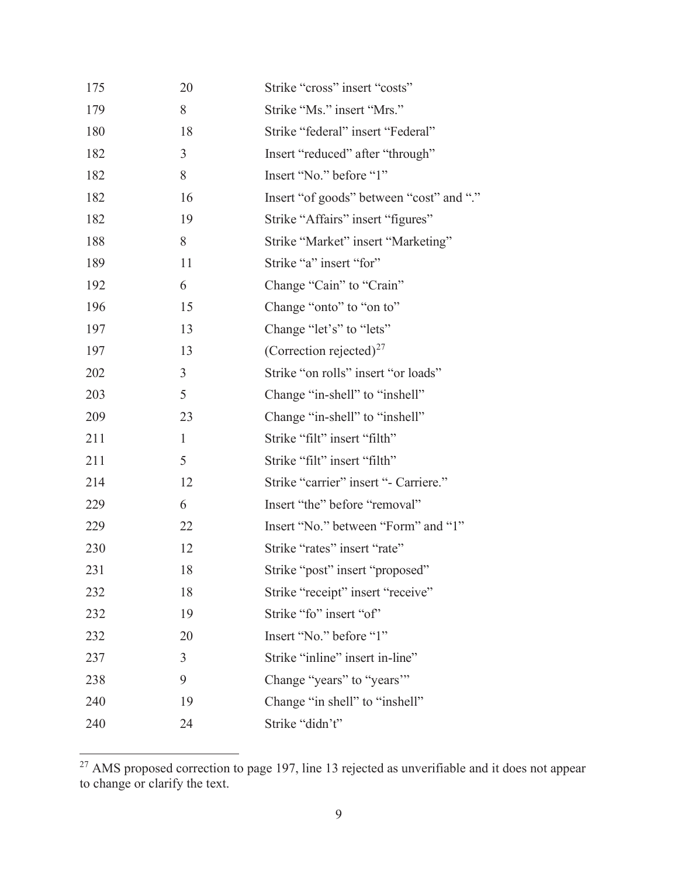| 175 | 20             | Strike "cross" insert "costs"            |
|-----|----------------|------------------------------------------|
| 179 | 8              | Strike "Ms." insert "Mrs."               |
| 180 | 18             | Strike "federal" insert "Federal"        |
| 182 | $\mathfrak{Z}$ | Insert "reduced" after "through"         |
| 182 | 8              | Insert "No." before "1"                  |
| 182 | 16             | Insert "of goods" between "cost" and "." |
| 182 | 19             | Strike "Affairs" insert "figures"        |
| 188 | 8              | Strike "Market" insert "Marketing"       |
| 189 | 11             | Strike "a" insert "for"                  |
| 192 | 6              | Change "Cain" to "Crain"                 |
| 196 | 15             | Change "onto" to "on to"                 |
| 197 | 13             | Change "let's" to "lets"                 |
| 197 | 13             | (Correction rejected) <sup>27</sup>      |
| 202 | $\overline{3}$ | Strike "on rolls" insert "or loads"      |
| 203 | 5              | Change "in-shell" to "inshell"           |
| 209 | 23             | Change "in-shell" to "inshell"           |
| 211 | $\mathbf{1}$   | Strike "filt" insert "filth"             |
| 211 | 5              | Strike "filt" insert "filth"             |
| 214 | 12             | Strike "carrier" insert "- Carriere."    |
| 229 | 6              | Insert "the" before "removal"            |
| 229 | 22             | Insert "No." between "Form" and "1"      |
| 230 | 12             | Strike "rates" insert "rate"             |
| 231 | 18             | Strike "post" insert "proposed"          |
| 232 | 18             | Strike "receipt" insert "receive"        |
| 232 | 19             | Strike "fo" insert "of"                  |
| 232 | 20             | Insert "No." before "1"                  |
| 237 | 3              | Strike "inline" insert in-line"          |
| 238 | 9              | Change "years" to "years"                |
| 240 | 19             | Change "in shell" to "inshell"           |
| 240 | 24             | Strike "didn't"                          |

 $27$  AMS proposed correction to page 197, line 13 rejected as unverifiable and it does not appear to change or clarify the text.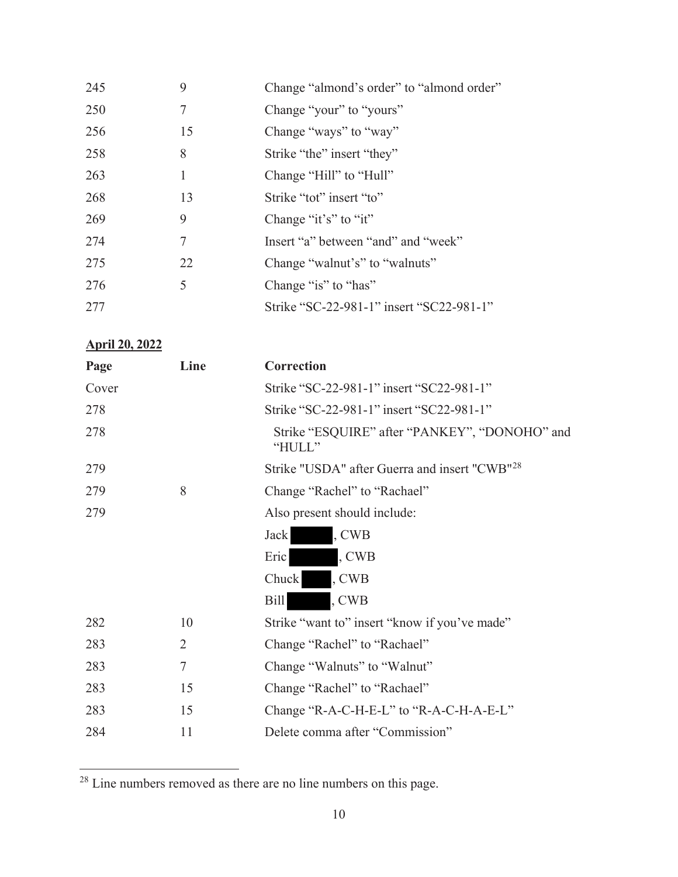| 245 | 9  | Change "almond's order" to "almond order" |
|-----|----|-------------------------------------------|
| 250 | 7  | Change "your" to "yours"                  |
| 256 | 15 | Change "ways" to "way"                    |
| 258 | 8  | Strike "the" insert "they"                |
| 263 | 1  | Change "Hill" to "Hull"                   |
| 268 | 13 | Strike "tot" insert "to"                  |
| 269 | 9  | Change " $it's$ " to " $it$ "             |
| 274 | 7  | Insert "a" between "and" and "week"       |
| 275 | 22 | Change "walnut's" to "walnuts"            |
| 276 | 5  | Change "is" to "has"                      |
| 277 |    | Strike "SC-22-981-1" insert "SC22-981-1"  |

# **April 20, 2022**

| Page  | Line   | Correction                                                |
|-------|--------|-----------------------------------------------------------|
| Cover |        | Strike "SC-22-981-1" insert "SC22-981-1"                  |
| 278   |        | Strike "SC-22-981-1" insert "SC22-981-1"                  |
| 278   |        | Strike "ESQUIRE" after "PANKEY", "DONOHO" and<br>"HULL"   |
| 279   |        | Strike "USDA" after Guerra and insert "CWB" <sup>28</sup> |
| 279   | 8      | Change "Rachel" to "Rachael"                              |
| 279   |        | Also present should include:                              |
|       |        | , CWB<br><b>Jack</b>                                      |
|       |        | Eric<br>, CWB                                             |
|       |        | Chuck<br>, CWB                                            |
|       |        | , CWB<br><b>Bill</b>                                      |
| 282   | 10     | Strike "want to" insert "know if you've made"             |
| 283   | 2      | Change "Rachel" to "Rachael"                              |
| 283   | $\tau$ | Change "Walnuts" to "Walnut"                              |
| 283   | 15     | Change "Rachel" to "Rachael"                              |
| 283   | 15     | Change "R-A-C-H-E-L" to "R-A-C-H-A-E-L"                   |
| 284   | 11     | Delete comma after "Commission"                           |

<sup>28</sup> Line numbers removed as there are no line numbers on this page.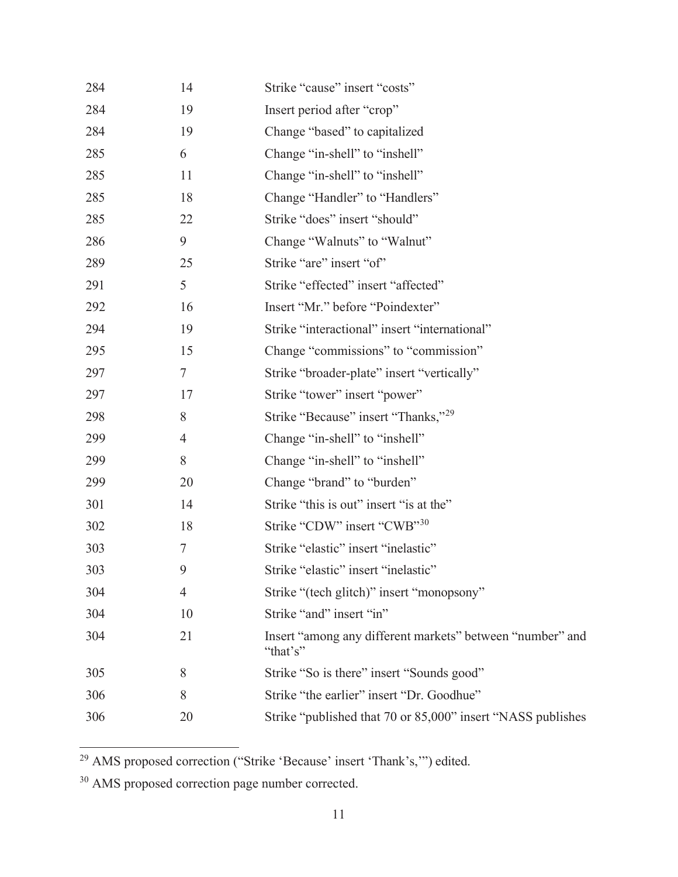| 284 | 14             | Strike "cause" insert "costs"                                         |
|-----|----------------|-----------------------------------------------------------------------|
| 284 | 19             | Insert period after "crop"                                            |
| 284 | 19             | Change "based" to capitalized                                         |
| 285 | 6              | Change "in-shell" to "inshell"                                        |
| 285 | 11             | Change "in-shell" to "inshell"                                        |
| 285 | 18             | Change "Handler" to "Handlers"                                        |
| 285 | 22             | Strike "does" insert "should"                                         |
| 286 | 9              | Change "Walnuts" to "Walnut"                                          |
| 289 | 25             | Strike "are" insert "of"                                              |
| 291 | 5              | Strike "effected" insert "affected"                                   |
| 292 | 16             | Insert "Mr." before "Poindexter"                                      |
| 294 | 19             | Strike "interactional" insert "international"                         |
| 295 | 15             | Change "commissions" to "commission"                                  |
| 297 | $\tau$         | Strike "broader-plate" insert "vertically"                            |
| 297 | 17             | Strike "tower" insert "power"                                         |
| 298 | 8              | Strike "Because" insert "Thanks," <sup>29</sup>                       |
| 299 | $\overline{4}$ | Change "in-shell" to "inshell"                                        |
| 299 | 8              | Change "in-shell" to "inshell"                                        |
| 299 | 20             | Change "brand" to "burden"                                            |
| 301 | 14             | Strike "this is out" insert "is at the"                               |
| 302 | 18             | Strike "CDW" insert "CWB" <sup>30</sup>                               |
| 303 | $\tau$         | Strike "elastic" insert "inelastic"                                   |
| 303 | 9              | Strike "elastic" insert "inelastic"                                   |
| 304 | 4              | Strike "(tech glitch)" insert "monopsony"                             |
| 304 | 10             | Strike "and" insert "in"                                              |
| 304 | 21             | Insert "among any different markets" between "number" and<br>"that's" |
| 305 | 8              | Strike "So is there" insert "Sounds good"                             |
| 306 | 8              | Strike "the earlier" insert "Dr. Goodhue"                             |
| 306 | 20             | Strike "published that 70 or 85,000" insert "NASS publishes           |

<sup>&</sup>lt;sup>29</sup> AMS proposed correction ("Strike 'Because' insert 'Thank's,"") edited.

<sup>30</sup> AMS proposed correction page number corrected.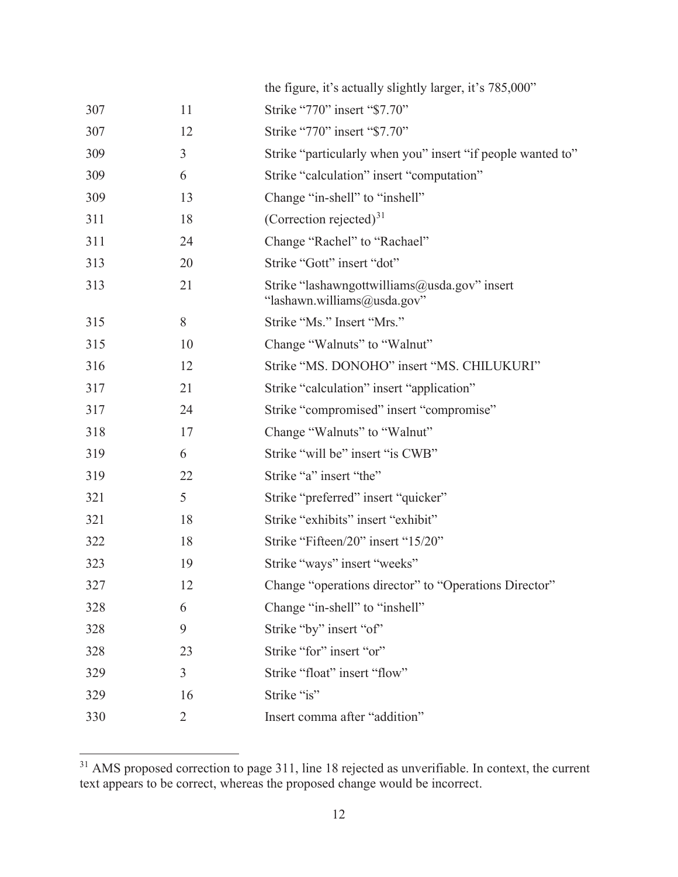|     |                | the figure, it's actually slightly larger, it's 785,000"                    |
|-----|----------------|-----------------------------------------------------------------------------|
| 307 | 11             | Strike "770" insert "\$7.70"                                                |
| 307 | 12             | Strike "770" insert "\$7.70"                                                |
| 309 | 3              | Strike "particularly when you" insert "if people wanted to"                 |
| 309 | 6              | Strike "calculation" insert "computation"                                   |
| 309 | 13             | Change "in-shell" to "inshell"                                              |
| 311 | 18             | (Correction rejected) $31$                                                  |
| 311 | 24             | Change "Rachel" to "Rachael"                                                |
| 313 | 20             | Strike "Gott" insert "dot"                                                  |
| 313 | 21             | Strike "lashawngottwilliams@usda.gov" insert<br>"lashawn.williams@usda.gov" |
| 315 | 8              | Strike "Ms." Insert "Mrs."                                                  |
| 315 | 10             | Change "Walnuts" to "Walnut"                                                |
| 316 | 12             | Strike "MS. DONOHO" insert "MS. CHILUKURI"                                  |
| 317 | 21             | Strike "calculation" insert "application"                                   |
| 317 | 24             | Strike "compromised" insert "compromise"                                    |
| 318 | 17             | Change "Walnuts" to "Walnut"                                                |
| 319 | 6              | Strike "will be" insert "is CWB"                                            |
| 319 | 22             | Strike "a" insert "the"                                                     |
| 321 | 5              | Strike "preferred" insert "quicker"                                         |
| 321 | 18             | Strike "exhibits" insert "exhibit"                                          |
| 322 | 18             | Strike "Fifteen/20" insert "15/20"                                          |
| 323 | 19             | Strike "ways" insert "weeks"                                                |
| 327 | 12             | Change "operations director" to "Operations Director"                       |
| 328 | 6              | Change "in-shell" to "inshell"                                              |
| 328 | 9              | Strike "by" insert "of"                                                     |
| 328 | 23             | Strike "for" insert "or"                                                    |
| 329 | $\mathfrak{Z}$ | Strike "float" insert "flow"                                                |
| 329 | 16             | Strike "is"                                                                 |
| 330 | 2              | Insert comma after "addition"                                               |

 $31$  AMS proposed correction to page 311, line 18 rejected as unverifiable. In context, the current text appears to be correct, whereas the proposed change would be incorrect.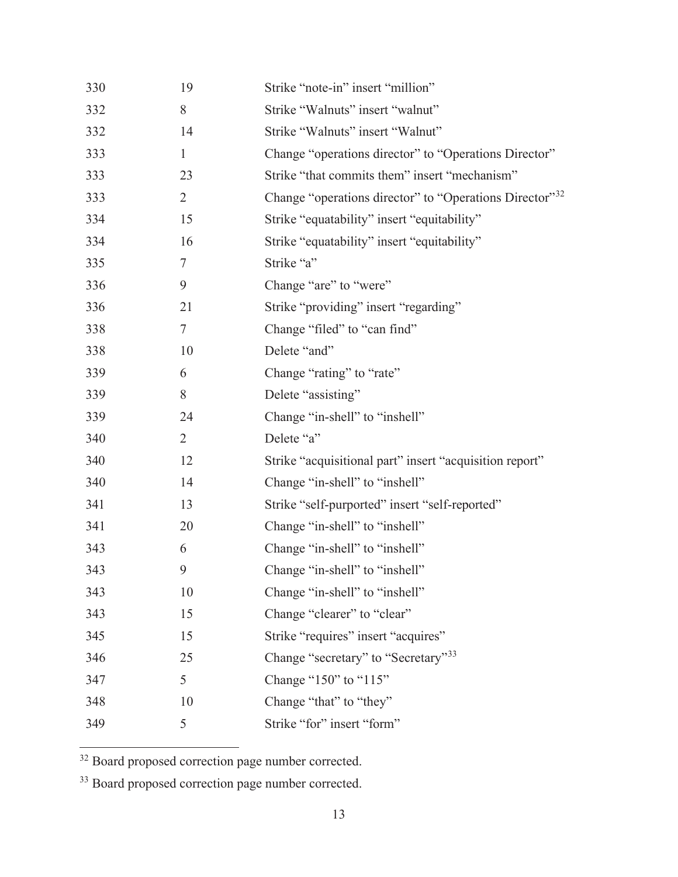| 8<br>Strike "Walnuts" insert "walnut"<br>332<br>Strike "Walnuts" insert "Walnut"<br>332<br>14<br>Change "operations director" to "Operations Director"<br>333<br>$\mathbf{1}$<br>Strike "that commits them" insert "mechanism"<br>333<br>23<br>Change "operations director" to "Operations Director"32<br>333<br>$\overline{2}$ |  |
|---------------------------------------------------------------------------------------------------------------------------------------------------------------------------------------------------------------------------------------------------------------------------------------------------------------------------------|--|
|                                                                                                                                                                                                                                                                                                                                 |  |
|                                                                                                                                                                                                                                                                                                                                 |  |
|                                                                                                                                                                                                                                                                                                                                 |  |
|                                                                                                                                                                                                                                                                                                                                 |  |
|                                                                                                                                                                                                                                                                                                                                 |  |
| 334<br>Strike "equatability" insert "equitability"<br>15                                                                                                                                                                                                                                                                        |  |
| 334<br>16<br>Strike "equatability" insert "equitability"                                                                                                                                                                                                                                                                        |  |
| 335<br>Strike "a"<br>$\tau$                                                                                                                                                                                                                                                                                                     |  |
| 336<br>9<br>Change "are" to "were"                                                                                                                                                                                                                                                                                              |  |
| 336<br>Strike "providing" insert "regarding"<br>21                                                                                                                                                                                                                                                                              |  |
| 338<br>Change "filed" to "can find"<br>$\tau$                                                                                                                                                                                                                                                                                   |  |
| 338<br>Delete "and"<br>10                                                                                                                                                                                                                                                                                                       |  |
| Change "rating" to "rate"<br>339<br>6                                                                                                                                                                                                                                                                                           |  |
| 339<br>8<br>Delete "assisting"                                                                                                                                                                                                                                                                                                  |  |
| 339<br>Change "in-shell" to "inshell"<br>24                                                                                                                                                                                                                                                                                     |  |
| 340<br>$\overline{2}$<br>Delete "a"                                                                                                                                                                                                                                                                                             |  |
| Strike "acquisitional part" insert "acquisition report"<br>340<br>12                                                                                                                                                                                                                                                            |  |
| Change "in-shell" to "inshell"<br>340<br>14                                                                                                                                                                                                                                                                                     |  |
| 341<br>Strike "self-purported" insert "self-reported"<br>13                                                                                                                                                                                                                                                                     |  |
| 341<br>Change "in-shell" to "inshell"<br>20                                                                                                                                                                                                                                                                                     |  |
| Change "in-shell" to "inshell"<br>343<br>6                                                                                                                                                                                                                                                                                      |  |
| 9<br>Change "in-shell" to "inshell"<br>343                                                                                                                                                                                                                                                                                      |  |
| 10<br>Change "in-shell" to "inshell"<br>343                                                                                                                                                                                                                                                                                     |  |
| 343<br>15<br>Change "clearer" to "clear"                                                                                                                                                                                                                                                                                        |  |
| Strike "requires" insert "acquires"<br>345<br>15                                                                                                                                                                                                                                                                                |  |
| Change "secretary" to "Secretary" <sup>33</sup><br>25<br>346                                                                                                                                                                                                                                                                    |  |
| 5<br>Change " $150$ " to " $115$ "<br>347                                                                                                                                                                                                                                                                                       |  |
| 348<br>Change "that" to "they"<br>10                                                                                                                                                                                                                                                                                            |  |
| 5<br>Strike "for" insert "form"<br>349                                                                                                                                                                                                                                                                                          |  |

<sup>32</sup> Board proposed correction page number corrected.

33 Board proposed correction page number corrected.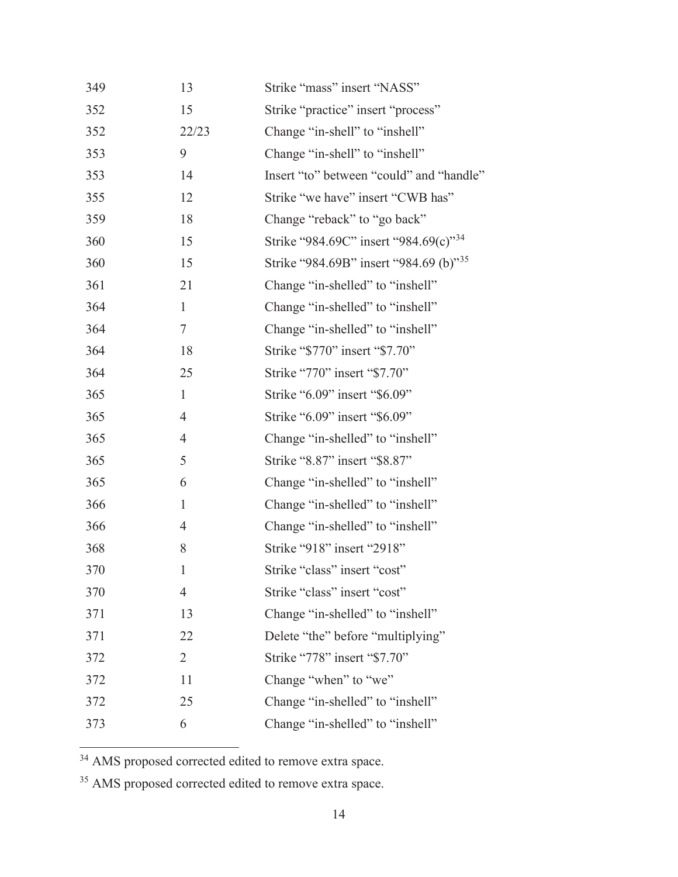| 349 | 13             | Strike "mass" insert "NASS"                        |
|-----|----------------|----------------------------------------------------|
| 352 | 15             | Strike "practice" insert "process"                 |
| 352 | 22/23          | Change "in-shell" to "inshell"                     |
| 353 | 9              | Change "in-shell" to "inshell"                     |
| 353 | 14             | Insert "to" between "could" and "handle"           |
| 355 | 12             | Strike "we have" insert "CWB has"                  |
| 359 | 18             | Change "reback" to "go back"                       |
| 360 | 15             | Strike "984.69C" insert "984.69(c)" <sup>34</sup>  |
| 360 | 15             | Strike "984.69B" insert "984.69 (b)" <sup>35</sup> |
| 361 | 21             | Change "in-shelled" to "inshell"                   |
| 364 | $\mathbf{1}$   | Change "in-shelled" to "inshell"                   |
| 364 | $\tau$         | Change "in-shelled" to "inshell"                   |
| 364 | 18             | Strike "\$770" insert "\$7.70"                     |
| 364 | 25             | Strike "770" insert "\$7.70"                       |
| 365 | $\mathbf{1}$   | Strike "6.09" insert "\$6.09"                      |
| 365 | $\overline{4}$ | Strike "6.09" insert "\$6.09"                      |
| 365 | $\overline{4}$ | Change "in-shelled" to "inshell"                   |
| 365 | 5              | Strike "8.87" insert "\$8.87"                      |
| 365 | 6              | Change "in-shelled" to "inshell"                   |
| 366 | $\mathbf{1}$   | Change "in-shelled" to "inshell"                   |
| 366 | $\overline{4}$ | Change "in-shelled" to "inshell"                   |
| 368 | 8              | Strike "918" insert "2918"                         |
| 370 | $\mathbf{1}$   | Strike "class" insert "cost"                       |
| 370 | 4              | Strike "class" insert "cost"                       |
| 371 | 13             | Change "in-shelled" to "inshell"                   |
| 371 | 22             | Delete "the" before "multiplying"                  |
| 372 | $\overline{2}$ | Strike "778" insert "\$7.70"                       |
| 372 | 11             | Change "when" to "we"                              |
| 372 | 25             | Change "in-shelled" to "inshell"                   |
| 373 | 6              | Change "in-shelled" to "inshell"                   |

<sup>34</sup> AMS proposed corrected edited to remove extra space.

<sup>35</sup> AMS proposed corrected edited to remove extra space.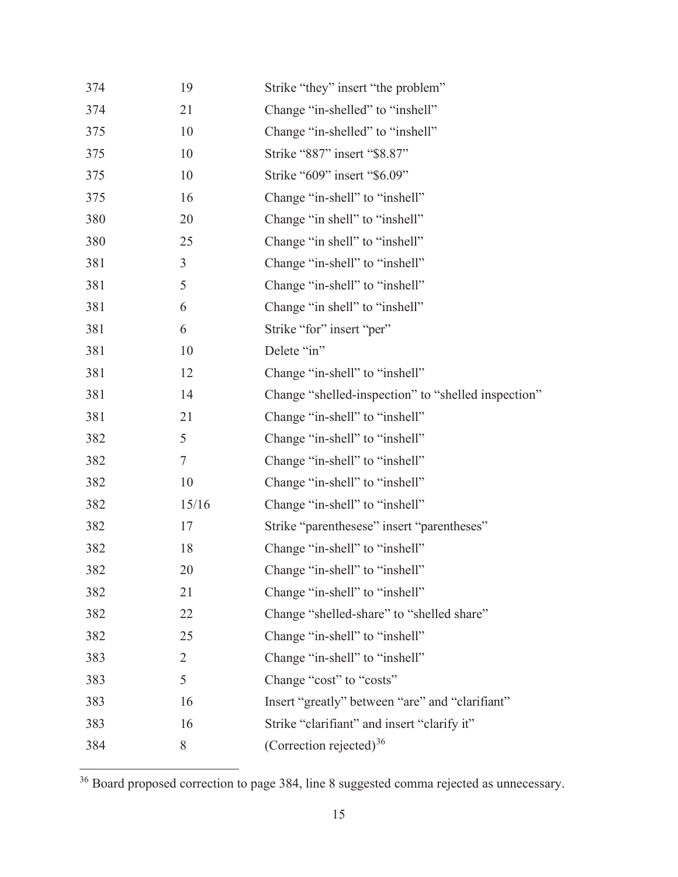| 374 | 19             | Strike "they" insert "the problem"                  |
|-----|----------------|-----------------------------------------------------|
| 374 | 21             | Change "in-shelled" to "inshell"                    |
| 375 | 10             | Change "in-shelled" to "inshell"                    |
| 375 | 10             | Strike "887" insert "\$8.87"                        |
| 375 | 10             | Strike "609" insert "\$6.09"                        |
| 375 | 16             | Change "in-shell" to "inshell"                      |
| 380 | 20             | Change "in shell" to "inshell"                      |
| 380 | 25             | Change "in shell" to "inshell"                      |
| 381 | 3              | Change "in-shell" to "inshell"                      |
| 381 | 5              | Change "in-shell" to "inshell"                      |
| 381 | 6              | Change "in shell" to "inshell"                      |
| 381 | 6              | Strike "for" insert "per"                           |
| 381 | 10             | Delete "in"                                         |
| 381 | 12             | Change "in-shell" to "inshell"                      |
| 381 | 14             | Change "shelled-inspection" to "shelled inspection" |
| 381 | 21             | Change "in-shell" to "inshell"                      |
| 382 | 5              | Change "in-shell" to "inshell"                      |
| 382 | 7              | Change "in-shell" to "inshell"                      |
| 382 | 10             | Change "in-shell" to "inshell"                      |
| 382 | 15/16          | Change "in-shell" to "inshell"                      |
| 382 | 17             | Strike "parenthesese" insert "parentheses"          |
| 382 | 18             | Change "in-shell" to "inshell"                      |
| 382 | 20             | Change "in-shell" to "inshell"                      |
| 382 | 21             | Change "in-shell" to "inshell"                      |
| 382 | 22             | Change "shelled-share" to "shelled share"           |
| 382 | 25             | Change "in-shell" to "inshell"                      |
| 383 | $\overline{2}$ | Change "in-shell" to "inshell"                      |
| 383 | 5              | Change "cost" to "costs"                            |
| 383 | 16             | Insert "greatly" between "are" and "clarifiant"     |
| 383 | 16             | Strike "clarifiant" and insert "clarify it"         |
| 384 | 8              | (Correction rejected) <sup>36</sup>                 |

<sup>&</sup>lt;sup>36</sup> Board proposed correction to page 384, line 8 suggested comma rejected as unnecessary.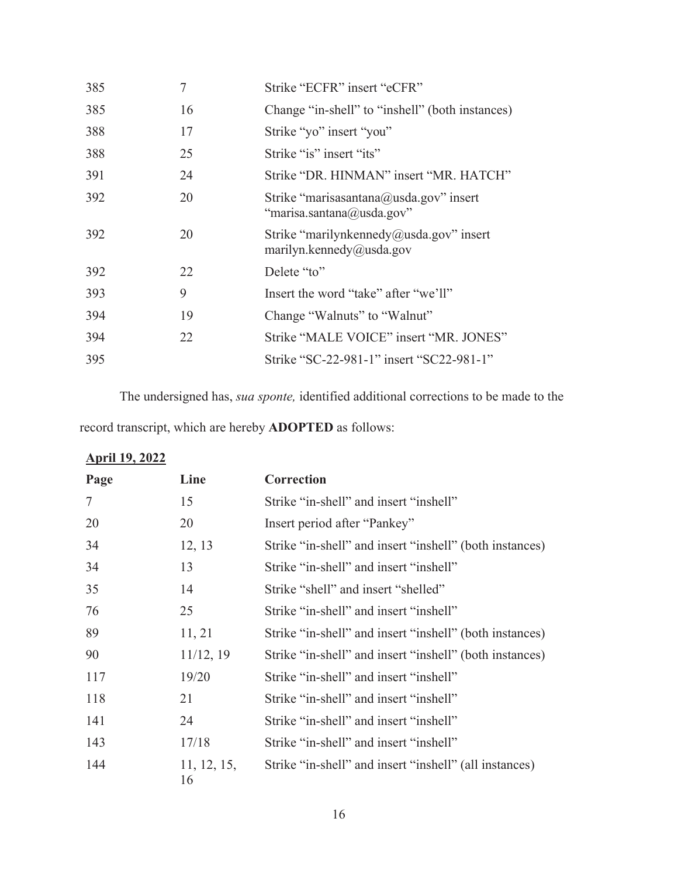| 385 | 7  | Strike "ECFR" insert "eCFR"                                         |
|-----|----|---------------------------------------------------------------------|
| 385 | 16 | Change "in-shell" to "inshell" (both instances)                     |
| 388 | 17 | Strike "yo" insert "you"                                            |
| 388 | 25 | Strike "is" insert "its"                                            |
| 391 | 24 | Strike "DR. HINMAN" insert "MR. HATCH"                              |
| 392 | 20 | Strike "marisasantana@usda.gov" insert<br>"marisa.santana@usda.gov" |
| 392 | 20 | Strike "marilynkennedy@usda.gov" insert<br>marilyn.kennedy@usda.gov |
| 392 | 22 | Delete "to"                                                         |
| 393 | 9  | Insert the word "take" after "we'll"                                |
| 394 | 19 | Change "Walnuts" to "Walnut"                                        |
| 394 | 22 | Strike "MALE VOICE" insert "MR. JONES"                              |
| 395 |    | Strike "SC-22-981-1" insert "SC22-981-1"                            |
|     |    |                                                                     |

The undersigned has, *sua sponte,* identified additional corrections to be made to the

record transcript, which are hereby **ADOPTED** as follows:

### **April 19, 2022**

| Page | Line              | Correction                                              |
|------|-------------------|---------------------------------------------------------|
| 7    | 15                | Strike "in-shell" and insert "inshell"                  |
| 20   | 20                | Insert period after "Pankey"                            |
| 34   | 12, 13            | Strike "in-shell" and insert "inshell" (both instances) |
| 34   | 13                | Strike "in-shell" and insert "inshell"                  |
| 35   | 14                | Strike "shell" and insert "shelled"                     |
| 76   | 25                | Strike "in-shell" and insert "inshell"                  |
| 89   | 11, 21            | Strike "in-shell" and insert "inshell" (both instances) |
| 90   | 11/12, 19         | Strike "in-shell" and insert "inshell" (both instances) |
| 117  | 19/20             | Strike "in-shell" and insert "inshell"                  |
| 118  | 21                | Strike "in-shell" and insert "inshell"                  |
| 141  | 24                | Strike "in-shell" and insert "inshell"                  |
| 143  | 17/18             | Strike "in-shell" and insert "inshell"                  |
| 144  | 11, 12, 15,<br>16 | Strike "in-shell" and insert "inshell" (all instances)  |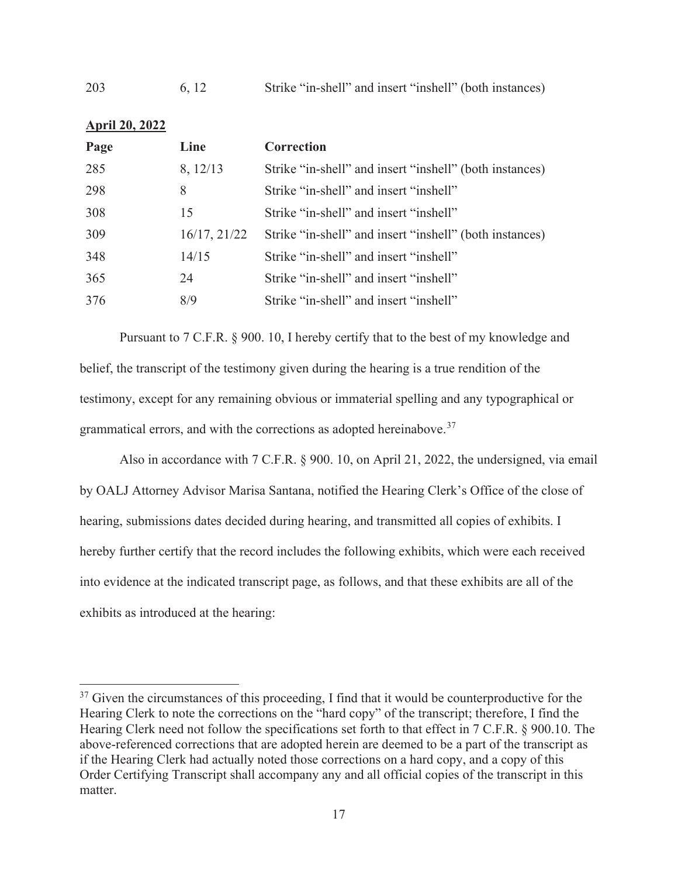| 203<br>6, 12 |  |  |  | Strike "in-shell" and insert "inshell" (both instances) |
|--------------|--|--|--|---------------------------------------------------------|
|--------------|--|--|--|---------------------------------------------------------|

| <b>April 20, 2022</b> |              |                                                         |
|-----------------------|--------------|---------------------------------------------------------|
| Page                  | Line         | Correction                                              |
| 285                   | 8, 12/13     | Strike "in-shell" and insert "inshell" (both instances) |
| 298                   | 8            | Strike "in-shell" and insert "inshell"                  |
| 308                   | 15           | Strike "in-shell" and insert "inshell"                  |
| 309                   | 16/17, 21/22 | Strike "in-shell" and insert "inshell" (both instances) |
| 348                   | 14/15        | Strike "in-shell" and insert "inshell"                  |
| 365                   | 24           | Strike "in-shell" and insert "inshell"                  |
| 376                   | 8/9          | Strike "in-shell" and insert "inshell"                  |

Pursuant to 7 C.F.R. § 900. 10, I hereby certify that to the best of my knowledge and belief, the transcript of the testimony given during the hearing is a true rendition of the testimony, except for any remaining obvious or immaterial spelling and any typographical or grammatical errors, and with the corrections as adopted hereinabove.<sup>37</sup>

Also in accordance with 7 C.F.R. § 900. 10, on April 21, 2022, the undersigned, via email by OALJ Attorney Advisor Marisa Santana, notified the Hearing Clerk's Office of the close of hearing, submissions dates decided during hearing, and transmitted all copies of exhibits. I hereby further certify that the record includes the following exhibits, which were each received into evidence at the indicated transcript page, as follows, and that these exhibits are all of the exhibits as introduced at the hearing:

 $37$  Given the circumstances of this proceeding, I find that it would be counterproductive for the Hearing Clerk to note the corrections on the "hard copy" of the transcript; therefore, I find the Hearing Clerk need not follow the specifications set forth to that effect in 7 C.F.R. § 900.10. The above-referenced corrections that are adopted herein are deemed to be a part of the transcript as if the Hearing Clerk had actually noted those corrections on a hard copy, and a copy of this Order Certifying Transcript shall accompany any and all official copies of the transcript in this matter.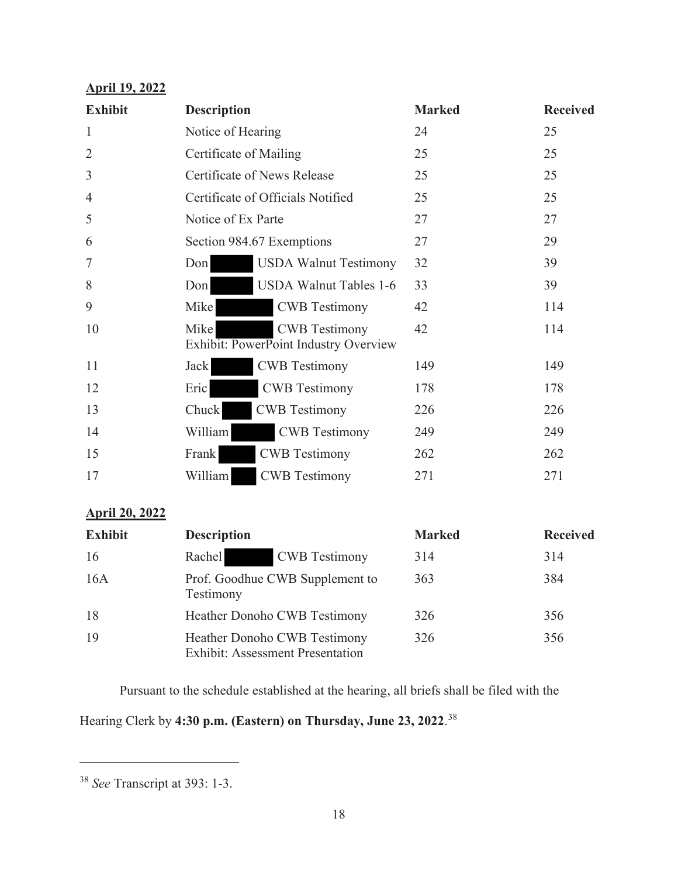# **April 19, 2022**

| <b>Exhibit</b> | <b>Description</b>     |                                                               | <b>Marked</b> | <b>Received</b> |
|----------------|------------------------|---------------------------------------------------------------|---------------|-----------------|
| $\mathbf{1}$   | Notice of Hearing      |                                                               | 24            | 25              |
| $\overline{2}$ | Certificate of Mailing |                                                               | 25            | 25              |
| $\mathfrak{Z}$ |                        | Certificate of News Release                                   | 25            | 25              |
| $\overline{4}$ |                        | Certificate of Officials Notified                             | 25            | 25              |
| 5              | Notice of Ex Parte     |                                                               | 27            | 27              |
| 6              |                        | Section 984.67 Exemptions                                     | 27            | 29              |
| 7              | Don                    | <b>USDA Walnut Testimony</b>                                  | 32            | 39              |
| 8              | Don                    | <b>USDA Walnut Tables 1-6</b>                                 | 33            | 39              |
| 9              | Mike                   | <b>CWB</b> Testimony                                          | 42            | 114             |
| 10             | Mike                   | <b>CWB</b> Testimony<br>Exhibit: PowerPoint Industry Overview | 42            | 114             |
| 11             | Jack                   | <b>CWB</b> Testimony                                          | 149           | 149             |
| 12             | Eric                   | <b>CWB</b> Testimony                                          | 178           | 178             |
| 13             | Chuck                  | <b>CWB</b> Testimony                                          | 226           | 226             |
| 14             | William                | <b>CWB</b> Testimony                                          | 249           | 249             |
| 15             | Frank                  | <b>CWB</b> Testimony                                          | 262           | 262             |
| 17             | William                | <b>CWB</b> Testimony                                          | 271           | 271             |

## **April 20, 2022**

| <b>Exhibit</b> | <b>Description</b>                                                      | <b>Marked</b> | <b>Received</b> |
|----------------|-------------------------------------------------------------------------|---------------|-----------------|
| 16             | Rachel<br><b>CWB</b> Testimony                                          | 314           | 314             |
| 16A            | Prof. Goodhue CWB Supplement to<br>Testimony                            | 363           | 384             |
| 18             | <b>Heather Donoho CWB Testimony</b>                                     | 326           | 356             |
| 19             | Heather Donoho CWB Testimony<br><b>Exhibit: Assessment Presentation</b> | 326           | 356             |

Pursuant to the schedule established at the hearing, all briefs shall be filed with the

Hearing Clerk by **4:30 p.m. (Eastern) on Thursday, June 23, 2022**. 38

<sup>38</sup> *See* Transcript at 393: 1-3.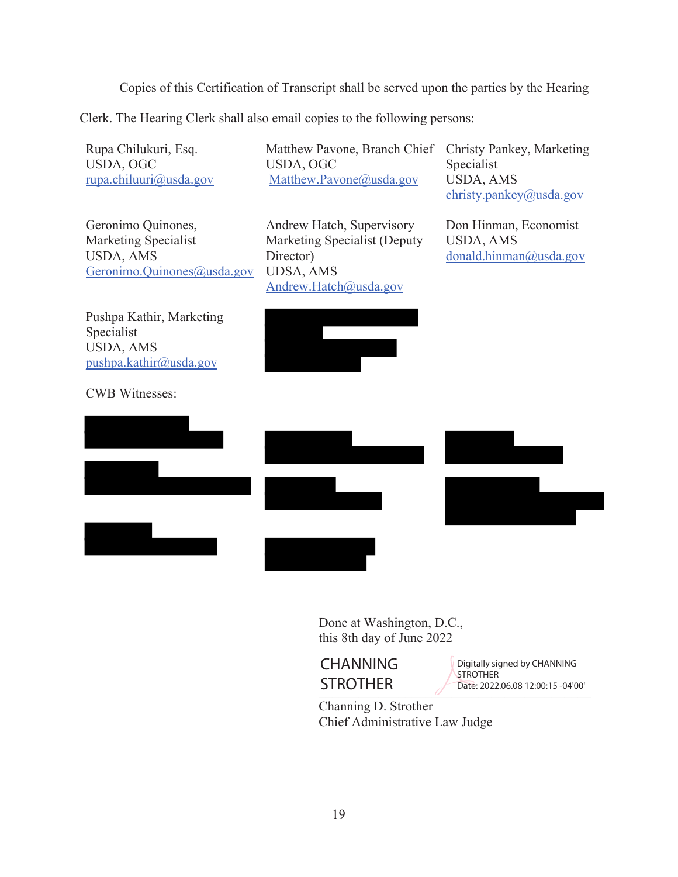Copies of this Certification of Transcript shall be served upon the parties by the Hearing

Clerk. The Hearing Clerk shall also email copies to the following persons:

Rupa Chilukuri, Esq. USDA, OGC rupa.chiluuri@usda.gov

Geronimo Quinones, Marketing Specialist USDA, AMS Geronimo.Quinones@usda.gov

Pushpa Kathir, Marketing Specialist USDA, AMS pushpa.kathir@usda.gov

CWB Witnesses:

Matthew Pavone, Branch Chief USDA, OGC Matthew.Pavone@usda.gov

Andrew Hatch, Supervisory Marketing Specialist (Deputy Director) UDSA, AMS Andrew.Hatch@usda.gov

Christy Pankey, Marketing Specialist USDA, AMS christy.pankey@usda.gov

Don Hinman, Economist USDA, AMS donald.hinman@usda.gov



Done at Washington, D.C., this 8th day of June 2022



SIROIHER Date: 2022.06.08 12:00:15 -04'00' Digitally signed by CHANNING **STROTHER** 

Channing D. Strother Chief Administrative Law Judge